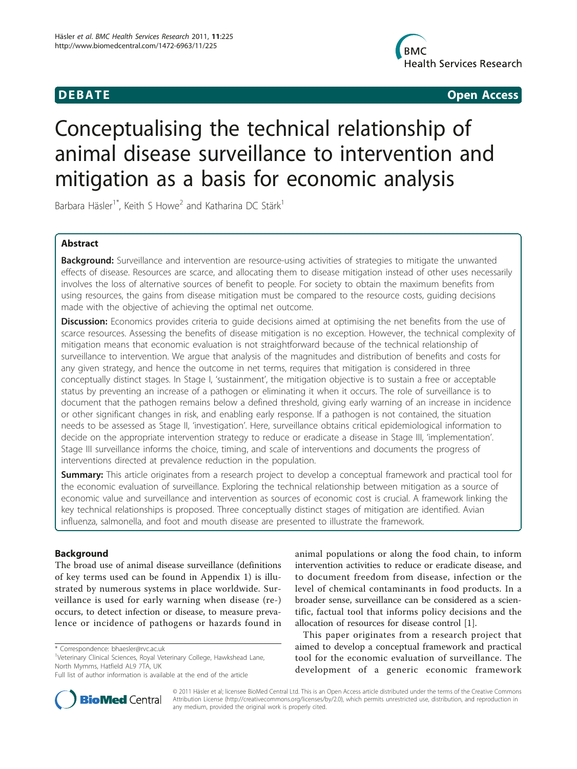

**DEBATE CONSTRUCTED ACCESS Open Access** 

# Conceptualising the technical relationship of animal disease surveillance to intervention and mitigation as a basis for economic analysis

Barbara Häsler<sup>1\*</sup>, Keith S Howe<sup>2</sup> and Katharina DC Stärk<sup>1</sup>

# Abstract

Background: Surveillance and intervention are resource-using activities of strategies to mitigate the unwanted effects of disease. Resources are scarce, and allocating them to disease mitigation instead of other uses necessarily involves the loss of alternative sources of benefit to people. For society to obtain the maximum benefits from using resources, the gains from disease mitigation must be compared to the resource costs, guiding decisions made with the objective of achieving the optimal net outcome.

Discussion: Economics provides criteria to quide decisions aimed at optimising the net benefits from the use of scarce resources. Assessing the benefits of disease mitigation is no exception. However, the technical complexity of mitigation means that economic evaluation is not straightforward because of the technical relationship of surveillance to intervention. We argue that analysis of the magnitudes and distribution of benefits and costs for any given strategy, and hence the outcome in net terms, requires that mitigation is considered in three conceptually distinct stages. In Stage I, 'sustainment', the mitigation objective is to sustain a free or acceptable status by preventing an increase of a pathogen or eliminating it when it occurs. The role of surveillance is to document that the pathogen remains below a defined threshold, giving early warning of an increase in incidence or other significant changes in risk, and enabling early response. If a pathogen is not contained, the situation needs to be assessed as Stage II, 'investigation'. Here, surveillance obtains critical epidemiological information to decide on the appropriate intervention strategy to reduce or eradicate a disease in Stage III, 'implementation'. Stage III surveillance informs the choice, timing, and scale of interventions and documents the progress of interventions directed at prevalence reduction in the population.

**Summary:** This article originates from a research project to develop a conceptual framework and practical tool for the economic evaluation of surveillance. Exploring the technical relationship between mitigation as a source of economic value and surveillance and intervention as sources of economic cost is crucial. A framework linking the key technical relationships is proposed. Three conceptually distinct stages of mitigation are identified. Avian influenza, salmonella, and foot and mouth disease are presented to illustrate the framework.

# **Background**

The broad use of animal disease surveillance (definitions of key terms used can be found in Appendix 1) is illustrated by numerous systems in place worldwide. Surveillance is used for early warning when disease (re-) occurs, to detect infection or disease, to measure prevalence or incidence of pathogens or hazards found in animal populations or along the food chain, to inform intervention activities to reduce or eradicate disease, and to document freedom from disease, infection or the level of chemical contaminants in food products. In a broader sense, surveillance can be considered as a scientific, factual tool that informs policy decisions and the allocation of resources for disease control [\[1](#page-9-0)].

This paper originates from a research project that aimed to develop a conceptual framework and practical tool for the economic evaluation of surveillance. The development of a generic economic framework



© 2011 Häsler et al; licensee BioMed Central Ltd. This is an Open Access article distributed under the terms of the Creative Commons Attribution License [\(http://creativecommons.org/licenses/by/2.0](http://creativecommons.org/licenses/by/2.0)), which permits unrestricted use, distribution, and reproduction in any medium, provided the original work is properly cited.

<sup>\*</sup> Correspondence: [bhaesler@rvc.ac.uk](mailto:bhaesler@rvc.ac.uk)

<sup>&</sup>lt;sup>1</sup>Veterinary Clinical Sciences, Royal Veterinary College, Hawkshead Lane, North Mymms, Hatfield AL9 7TA, UK

Full list of author information is available at the end of the article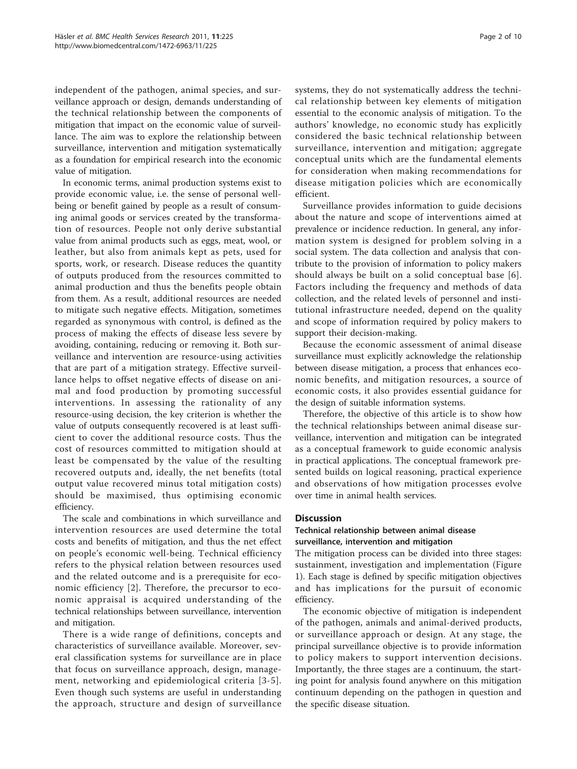independent of the pathogen, animal species, and surveillance approach or design, demands understanding of the technical relationship between the components of mitigation that impact on the economic value of surveillance. The aim was to explore the relationship between surveillance, intervention and mitigation systematically as a foundation for empirical research into the economic value of mitigation.

In economic terms, animal production systems exist to provide economic value, i.e. the sense of personal wellbeing or benefit gained by people as a result of consuming animal goods or services created by the transformation of resources. People not only derive substantial value from animal products such as eggs, meat, wool, or leather, but also from animals kept as pets, used for sports, work, or research. Disease reduces the quantity of outputs produced from the resources committed to animal production and thus the benefits people obtain from them. As a result, additional resources are needed to mitigate such negative effects. Mitigation, sometimes regarded as synonymous with control, is defined as the process of making the effects of disease less severe by avoiding, containing, reducing or removing it. Both surveillance and intervention are resource-using activities that are part of a mitigation strategy. Effective surveillance helps to offset negative effects of disease on animal and food production by promoting successful interventions. In assessing the rationality of any resource-using decision, the key criterion is whether the value of outputs consequently recovered is at least sufficient to cover the additional resource costs. Thus the cost of resources committed to mitigation should at least be compensated by the value of the resulting recovered outputs and, ideally, the net benefits (total output value recovered minus total mitigation costs) should be maximised, thus optimising economic efficiency.

The scale and combinations in which surveillance and intervention resources are used determine the total costs and benefits of mitigation, and thus the net effect on people's economic well-being. Technical efficiency refers to the physical relation between resources used and the related outcome and is a prerequisite for economic efficiency [[2\]](#page-9-0). Therefore, the precursor to economic appraisal is acquired understanding of the technical relationships between surveillance, intervention and mitigation.

There is a wide range of definitions, concepts and characteristics of surveillance available. Moreover, several classification systems for surveillance are in place that focus on surveillance approach, design, management, networking and epidemiological criteria [\[3-5\]](#page-9-0). Even though such systems are useful in understanding the approach, structure and design of surveillance systems, they do not systematically address the technical relationship between key elements of mitigation essential to the economic analysis of mitigation. To the authors' knowledge, no economic study has explicitly considered the basic technical relationship between surveillance, intervention and mitigation; aggregate conceptual units which are the fundamental elements for consideration when making recommendations for disease mitigation policies which are economically efficient.

Surveillance provides information to guide decisions about the nature and scope of interventions aimed at prevalence or incidence reduction. In general, any information system is designed for problem solving in a social system. The data collection and analysis that contribute to the provision of information to policy makers should always be built on a solid conceptual base [[6](#page-9-0)]. Factors including the frequency and methods of data collection, and the related levels of personnel and institutional infrastructure needed, depend on the quality and scope of information required by policy makers to support their decision-making.

Because the economic assessment of animal disease surveillance must explicitly acknowledge the relationship between disease mitigation, a process that enhances economic benefits, and mitigation resources, a source of economic costs, it also provides essential guidance for the design of suitable information systems.

Therefore, the objective of this article is to show how the technical relationships between animal disease surveillance, intervention and mitigation can be integrated as a conceptual framework to guide economic analysis in practical applications. The conceptual framework presented builds on logical reasoning, practical experience and observations of how mitigation processes evolve over time in animal health services.

# **Discussion**

# Technical relationship between animal disease surveillance, intervention and mitigation

The mitigation process can be divided into three stages: sustainment, investigation and implementation (Figure [1\)](#page-2-0). Each stage is defined by specific mitigation objectives and has implications for the pursuit of economic efficiency.

The economic objective of mitigation is independent of the pathogen, animals and animal-derived products, or surveillance approach or design. At any stage, the principal surveillance objective is to provide information to policy makers to support intervention decisions. Importantly, the three stages are a continuum, the starting point for analysis found anywhere on this mitigation continuum depending on the pathogen in question and the specific disease situation.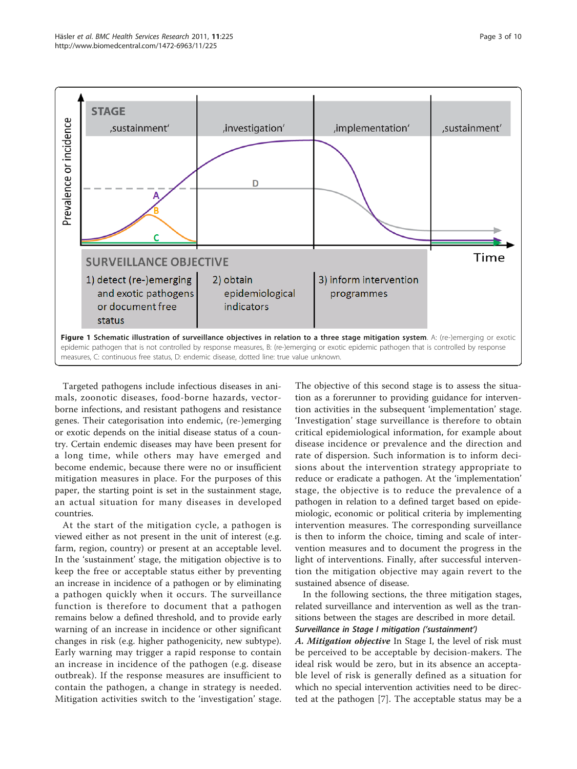<span id="page-2-0"></span>

Targeted pathogens include infectious diseases in animals, zoonotic diseases, food-borne hazards, vectorborne infections, and resistant pathogens and resistance genes. Their categorisation into endemic, (re-)emerging or exotic depends on the initial disease status of a country. Certain endemic diseases may have been present for a long time, while others may have emerged and become endemic, because there were no or insufficient mitigation measures in place. For the purposes of this paper, the starting point is set in the sustainment stage, an actual situation for many diseases in developed countries.

At the start of the mitigation cycle, a pathogen is viewed either as not present in the unit of interest (e.g. farm, region, country) or present at an acceptable level. In the 'sustainment' stage, the mitigation objective is to keep the free or acceptable status either by preventing an increase in incidence of a pathogen or by eliminating a pathogen quickly when it occurs. The surveillance function is therefore to document that a pathogen remains below a defined threshold, and to provide early warning of an increase in incidence or other significant changes in risk (e.g. higher pathogenicity, new subtype). Early warning may trigger a rapid response to contain an increase in incidence of the pathogen (e.g. disease outbreak). If the response measures are insufficient to contain the pathogen, a change in strategy is needed. Mitigation activities switch to the 'investigation' stage.

The objective of this second stage is to assess the situation as a forerunner to providing guidance for intervention activities in the subsequent 'implementation' stage. 'Investigation' stage surveillance is therefore to obtain critical epidemiological information, for example about disease incidence or prevalence and the direction and rate of dispersion. Such information is to inform decisions about the intervention strategy appropriate to reduce or eradicate a pathogen. At the 'implementation' stage, the objective is to reduce the prevalence of a pathogen in relation to a defined target based on epidemiologic, economic or political criteria by implementing intervention measures. The corresponding surveillance is then to inform the choice, timing and scale of intervention measures and to document the progress in the light of interventions. Finally, after successful intervention the mitigation objective may again revert to the sustained absence of disease.

In the following sections, the three mitigation stages, related surveillance and intervention as well as the transitions between the stages are described in more detail. Surveillance in Stage I mitigation ('sustainment')

A. Mitigation objective In Stage I, the level of risk must be perceived to be acceptable by decision-makers. The ideal risk would be zero, but in its absence an acceptable level of risk is generally defined as a situation for which no special intervention activities need to be directed at the pathogen [\[7](#page-9-0)]. The acceptable status may be a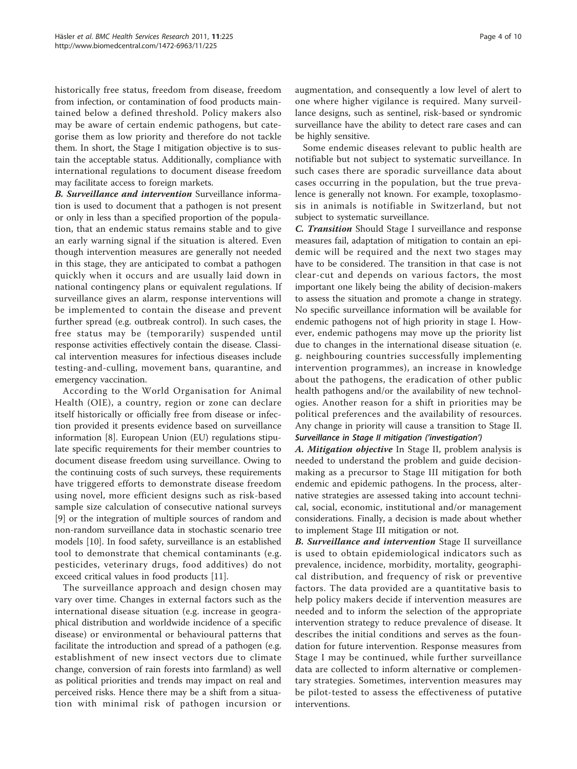historically free status, freedom from disease, freedom from infection, or contamination of food products maintained below a defined threshold. Policy makers also may be aware of certain endemic pathogens, but categorise them as low priority and therefore do not tackle them. In short, the Stage I mitigation objective is to sustain the acceptable status. Additionally, compliance with international regulations to document disease freedom may facilitate access to foreign markets.

B. Surveillance and intervention Surveillance information is used to document that a pathogen is not present or only in less than a specified proportion of the population, that an endemic status remains stable and to give an early warning signal if the situation is altered. Even though intervention measures are generally not needed in this stage, they are anticipated to combat a pathogen quickly when it occurs and are usually laid down in national contingency plans or equivalent regulations. If surveillance gives an alarm, response interventions will be implemented to contain the disease and prevent further spread (e.g. outbreak control). In such cases, the free status may be (temporarily) suspended until response activities effectively contain the disease. Classical intervention measures for infectious diseases include testing-and-culling, movement bans, quarantine, and emergency vaccination.

According to the World Organisation for Animal Health (OIE), a country, region or zone can declare itself historically or officially free from disease or infection provided it presents evidence based on surveillance information [[8](#page-9-0)]. European Union (EU) regulations stipulate specific requirements for their member countries to document disease freedom using surveillance. Owing to the continuing costs of such surveys, these requirements have triggered efforts to demonstrate disease freedom using novel, more efficient designs such as risk-based sample size calculation of consecutive national surveys [[9\]](#page-9-0) or the integration of multiple sources of random and non-random surveillance data in stochastic scenario tree models [\[10\]](#page-9-0). In food safety, surveillance is an established tool to demonstrate that chemical contaminants (e.g. pesticides, veterinary drugs, food additives) do not exceed critical values in food products [[11\]](#page-9-0).

The surveillance approach and design chosen may vary over time. Changes in external factors such as the international disease situation (e.g. increase in geographical distribution and worldwide incidence of a specific disease) or environmental or behavioural patterns that facilitate the introduction and spread of a pathogen (e.g. establishment of new insect vectors due to climate change, conversion of rain forests into farmland) as well as political priorities and trends may impact on real and perceived risks. Hence there may be a shift from a situation with minimal risk of pathogen incursion or augmentation, and consequently a low level of alert to one where higher vigilance is required. Many surveillance designs, such as sentinel, risk-based or syndromic surveillance have the ability to detect rare cases and can be highly sensitive.

Some endemic diseases relevant to public health are notifiable but not subject to systematic surveillance. In such cases there are sporadic surveillance data about cases occurring in the population, but the true prevalence is generally not known. For example, toxoplasmosis in animals is notifiable in Switzerland, but not subject to systematic surveillance.

C. Transition Should Stage I surveillance and response measures fail, adaptation of mitigation to contain an epidemic will be required and the next two stages may have to be considered. The transition in that case is not clear-cut and depends on various factors, the most important one likely being the ability of decision-makers to assess the situation and promote a change in strategy. No specific surveillance information will be available for endemic pathogens not of high priority in stage I. However, endemic pathogens may move up the priority list due to changes in the international disease situation (e. g. neighbouring countries successfully implementing intervention programmes), an increase in knowledge about the pathogens, the eradication of other public health pathogens and/or the availability of new technologies. Another reason for a shift in priorities may be political preferences and the availability of resources. Any change in priority will cause a transition to Stage II. Surveillance in Stage II mitigation ('investigation')

A. Mitigation objective In Stage II, problem analysis is needed to understand the problem and guide decisionmaking as a precursor to Stage III mitigation for both endemic and epidemic pathogens. In the process, alternative strategies are assessed taking into account technical, social, economic, institutional and/or management considerations. Finally, a decision is made about whether to implement Stage III mitigation or not.

**B. Surveillance and intervention** Stage II surveillance is used to obtain epidemiological indicators such as prevalence, incidence, morbidity, mortality, geographical distribution, and frequency of risk or preventive factors. The data provided are a quantitative basis to help policy makers decide if intervention measures are needed and to inform the selection of the appropriate intervention strategy to reduce prevalence of disease. It describes the initial conditions and serves as the foundation for future intervention. Response measures from Stage I may be continued, while further surveillance data are collected to inform alternative or complementary strategies. Sometimes, intervention measures may be pilot-tested to assess the effectiveness of putative interventions.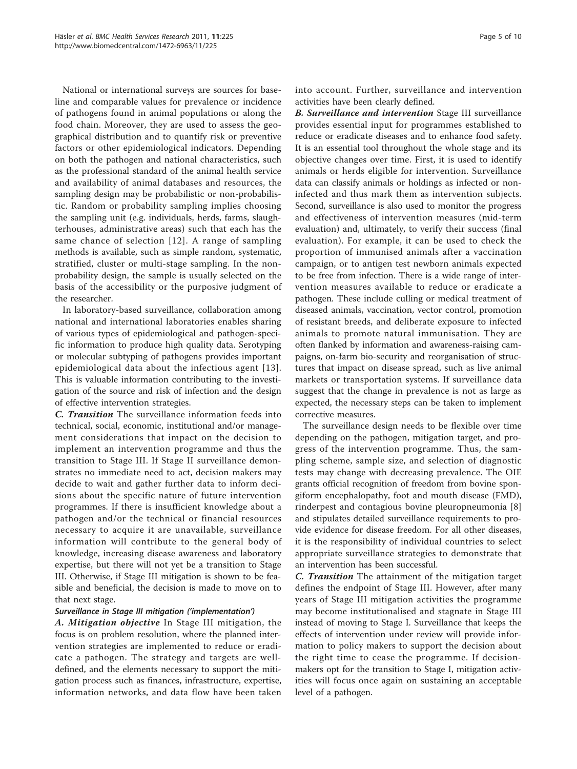National or international surveys are sources for baseline and comparable values for prevalence or incidence of pathogens found in animal populations or along the food chain. Moreover, they are used to assess the geographical distribution and to quantify risk or preventive factors or other epidemiological indicators. Depending on both the pathogen and national characteristics, such as the professional standard of the animal health service and availability of animal databases and resources, the sampling design may be probabilistic or non-probabilistic. Random or probability sampling implies choosing the sampling unit (e.g. individuals, herds, farms, slaughterhouses, administrative areas) such that each has the same chance of selection [[12](#page-9-0)]. A range of sampling methods is available, such as simple random, systematic, stratified, cluster or multi-stage sampling. In the nonprobability design, the sample is usually selected on the basis of the accessibility or the purposive judgment of the researcher.

In laboratory-based surveillance, collaboration among national and international laboratories enables sharing of various types of epidemiological and pathogen-specific information to produce high quality data. Serotyping or molecular subtyping of pathogens provides important epidemiological data about the infectious agent [\[13\]](#page-9-0). This is valuable information contributing to the investigation of the source and risk of infection and the design of effective intervention strategies.

C. Transition The surveillance information feeds into technical, social, economic, institutional and/or management considerations that impact on the decision to implement an intervention programme and thus the transition to Stage III. If Stage II surveillance demonstrates no immediate need to act, decision makers may decide to wait and gather further data to inform decisions about the specific nature of future intervention programmes. If there is insufficient knowledge about a pathogen and/or the technical or financial resources necessary to acquire it are unavailable, surveillance information will contribute to the general body of knowledge, increasing disease awareness and laboratory expertise, but there will not yet be a transition to Stage III. Otherwise, if Stage III mitigation is shown to be feasible and beneficial, the decision is made to move on to that next stage.

### Surveillance in Stage III mitigation ('implementation')

A. Mitigation objective In Stage III mitigation, the focus is on problem resolution, where the planned intervention strategies are implemented to reduce or eradicate a pathogen. The strategy and targets are welldefined, and the elements necessary to support the mitigation process such as finances, infrastructure, expertise, information networks, and data flow have been taken into account. Further, surveillance and intervention activities have been clearly defined.

B. Surveillance and intervention Stage III surveillance provides essential input for programmes established to reduce or eradicate diseases and to enhance food safety. It is an essential tool throughout the whole stage and its objective changes over time. First, it is used to identify animals or herds eligible for intervention. Surveillance data can classify animals or holdings as infected or noninfected and thus mark them as intervention subjects. Second, surveillance is also used to monitor the progress and effectiveness of intervention measures (mid-term evaluation) and, ultimately, to verify their success (final evaluation). For example, it can be used to check the proportion of immunised animals after a vaccination campaign, or to antigen test newborn animals expected to be free from infection. There is a wide range of intervention measures available to reduce or eradicate a pathogen. These include culling or medical treatment of diseased animals, vaccination, vector control, promotion of resistant breeds, and deliberate exposure to infected animals to promote natural immunisation. They are often flanked by information and awareness-raising campaigns, on-farm bio-security and reorganisation of structures that impact on disease spread, such as live animal markets or transportation systems. If surveillance data suggest that the change in prevalence is not as large as expected, the necessary steps can be taken to implement corrective measures.

The surveillance design needs to be flexible over time depending on the pathogen, mitigation target, and progress of the intervention programme. Thus, the sampling scheme, sample size, and selection of diagnostic tests may change with decreasing prevalence. The OIE grants official recognition of freedom from bovine spongiform encephalopathy, foot and mouth disease (FMD), rinderpest and contagious bovine pleuropneumonia [\[8](#page-9-0)] and stipulates detailed surveillance requirements to provide evidence for disease freedom. For all other diseases, it is the responsibility of individual countries to select appropriate surveillance strategies to demonstrate that an intervention has been successful.

C. Transition The attainment of the mitigation target defines the endpoint of Stage III. However, after many years of Stage III mitigation activities the programme may become institutionalised and stagnate in Stage III instead of moving to Stage I. Surveillance that keeps the effects of intervention under review will provide information to policy makers to support the decision about the right time to cease the programme. If decisionmakers opt for the transition to Stage I, mitigation activities will focus once again on sustaining an acceptable level of a pathogen.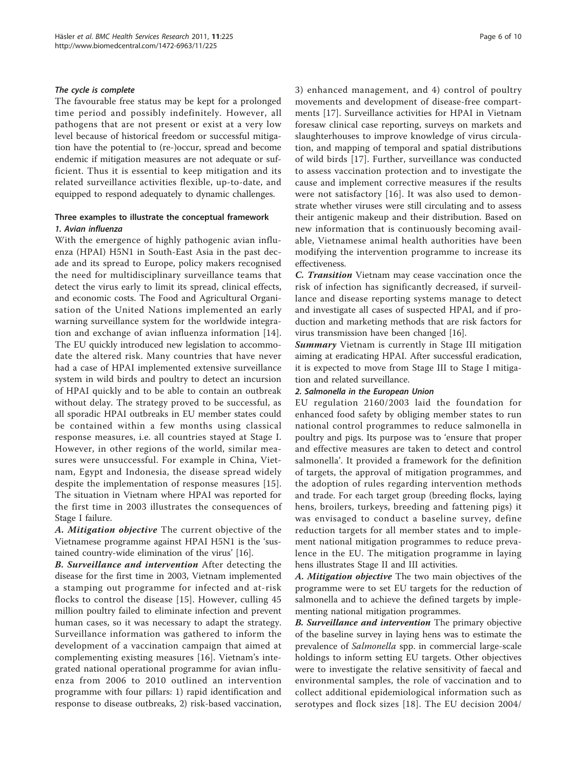# The cycle is complete

The favourable free status may be kept for a prolonged time period and possibly indefinitely. However, all pathogens that are not present or exist at a very low level because of historical freedom or successful mitigation have the potential to (re-)occur, spread and become endemic if mitigation measures are not adequate or sufficient. Thus it is essential to keep mitigation and its related surveillance activities flexible, up-to-date, and equipped to respond adequately to dynamic challenges.

# Three examples to illustrate the conceptual framework 1. Avian influenza

With the emergence of highly pathogenic avian influenza (HPAI) H5N1 in South-East Asia in the past decade and its spread to Europe, policy makers recognised the need for multidisciplinary surveillance teams that detect the virus early to limit its spread, clinical effects, and economic costs. The Food and Agricultural Organisation of the United Nations implemented an early warning surveillance system for the worldwide integration and exchange of avian influenza information [[14](#page-9-0)]. The EU quickly introduced new legislation to accommodate the altered risk. Many countries that have never had a case of HPAI implemented extensive surveillance system in wild birds and poultry to detect an incursion of HPAI quickly and to be able to contain an outbreak without delay. The strategy proved to be successful, as all sporadic HPAI outbreaks in EU member states could be contained within a few months using classical response measures, i.e. all countries stayed at Stage I. However, in other regions of the world, similar measures were unsuccessful. For example in China, Vietnam, Egypt and Indonesia, the disease spread widely despite the implementation of response measures [[15](#page-9-0)]. The situation in Vietnam where HPAI was reported for the first time in 2003 illustrates the consequences of Stage I failure.

A. Mitigation objective The current objective of the Vietnamese programme against HPAI H5N1 is the 'sustained country-wide elimination of the virus' [[16](#page-9-0)].

B. Surveillance and intervention After detecting the disease for the first time in 2003, Vietnam implemented a stamping out programme for infected and at-risk flocks to control the disease [[15](#page-9-0)]. However, culling 45 million poultry failed to eliminate infection and prevent human cases, so it was necessary to adapt the strategy. Surveillance information was gathered to inform the development of a vaccination campaign that aimed at complementing existing measures [[16\]](#page-9-0). Vietnam's integrated national operational programme for avian influenza from 2006 to 2010 outlined an intervention programme with four pillars: 1) rapid identification and response to disease outbreaks, 2) risk-based vaccination, 3) enhanced management, and 4) control of poultry movements and development of disease-free compartments [[17\]](#page-9-0). Surveillance activities for HPAI in Vietnam foresaw clinical case reporting, surveys on markets and slaughterhouses to improve knowledge of virus circulation, and mapping of temporal and spatial distributions of wild birds [[17\]](#page-9-0). Further, surveillance was conducted to assess vaccination protection and to investigate the cause and implement corrective measures if the results were not satisfactory [[16](#page-9-0)]. It was also used to demonstrate whether viruses were still circulating and to assess their antigenic makeup and their distribution. Based on new information that is continuously becoming available, Vietnamese animal health authorities have been modifying the intervention programme to increase its effectiveness.

C. Transition Vietnam may cease vaccination once the risk of infection has significantly decreased, if surveillance and disease reporting systems manage to detect and investigate all cases of suspected HPAI, and if production and marketing methods that are risk factors for virus transmission have been changed [[16\]](#page-9-0).

**Summary** Vietnam is currently in Stage III mitigation aiming at eradicating HPAI. After successful eradication, it is expected to move from Stage III to Stage I mitigation and related surveillance.

### 2. Salmonella in the European Union

EU regulation 2160/2003 laid the foundation for enhanced food safety by obliging member states to run national control programmes to reduce salmonella in poultry and pigs. Its purpose was to 'ensure that proper and effective measures are taken to detect and control salmonella'. It provided a framework for the definition of targets, the approval of mitigation programmes, and the adoption of rules regarding intervention methods and trade. For each target group (breeding flocks, laying hens, broilers, turkeys, breeding and fattening pigs) it was envisaged to conduct a baseline survey, define reduction targets for all member states and to implement national mitigation programmes to reduce prevalence in the EU. The mitigation programme in laying hens illustrates Stage II and III activities.

A. Mitigation objective The two main objectives of the programme were to set EU targets for the reduction of salmonella and to achieve the defined targets by implementing national mitigation programmes.

**B.** Surveillance and intervention The primary objective of the baseline survey in laying hens was to estimate the prevalence of Salmonella spp. in commercial large-scale holdings to inform setting EU targets. Other objectives were to investigate the relative sensitivity of faecal and environmental samples, the role of vaccination and to collect additional epidemiological information such as serotypes and flock sizes [[18](#page-9-0)]. The EU decision 2004/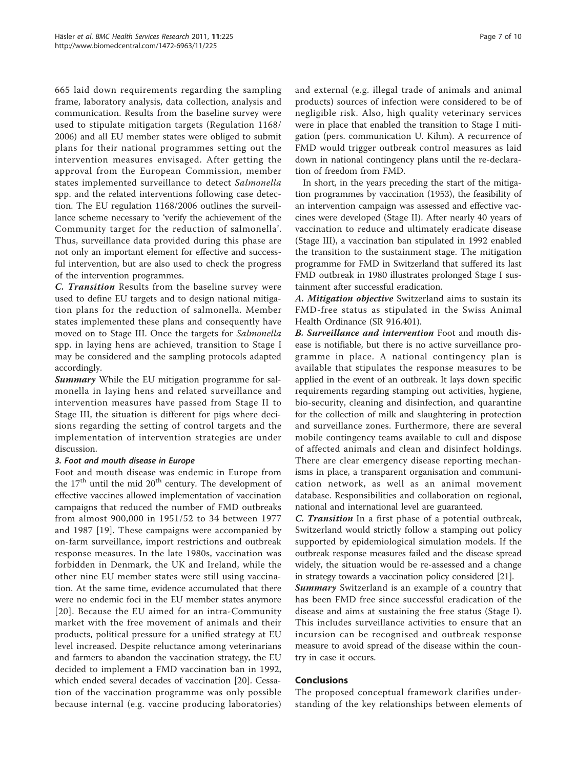665 laid down requirements regarding the sampling frame, laboratory analysis, data collection, analysis and communication. Results from the baseline survey were used to stipulate mitigation targets (Regulation 1168/ 2006) and all EU member states were obliged to submit plans for their national programmes setting out the intervention measures envisaged. After getting the approval from the European Commission, member states implemented surveillance to detect Salmonella spp. and the related interventions following case detection. The EU regulation 1168/2006 outlines the surveillance scheme necessary to 'verify the achievement of the Community target for the reduction of salmonella'. Thus, surveillance data provided during this phase are not only an important element for effective and successful intervention, but are also used to check the progress of the intervention programmes.

C. Transition Results from the baseline survey were used to define EU targets and to design national mitigation plans for the reduction of salmonella. Member states implemented these plans and consequently have moved on to Stage III. Once the targets for Salmonella spp. in laying hens are achieved, transition to Stage I may be considered and the sampling protocols adapted accordingly.

Summary While the EU mitigation programme for salmonella in laying hens and related surveillance and intervention measures have passed from Stage II to Stage III, the situation is different for pigs where decisions regarding the setting of control targets and the implementation of intervention strategies are under discussion.

# 3. Foot and mouth disease in Europe

Foot and mouth disease was endemic in Europe from the 17<sup>th</sup> until the mid 20<sup>th</sup> century. The development of effective vaccines allowed implementation of vaccination campaigns that reduced the number of FMD outbreaks from almost 900,000 in 1951/52 to 34 between 1977 and 1987 [[19\]](#page-9-0). These campaigns were accompanied by on-farm surveillance, import restrictions and outbreak response measures. In the late 1980s, vaccination was forbidden in Denmark, the UK and Ireland, while the other nine EU member states were still using vaccination. At the same time, evidence accumulated that there were no endemic foci in the EU member states anymore [[20\]](#page-9-0). Because the EU aimed for an intra-Community market with the free movement of animals and their products, political pressure for a unified strategy at EU level increased. Despite reluctance among veterinarians and farmers to abandon the vaccination strategy, the EU decided to implement a FMD vaccination ban in 1992, which ended several decades of vaccination [[20\]](#page-9-0). Cessation of the vaccination programme was only possible because internal (e.g. vaccine producing laboratories)

and external (e.g. illegal trade of animals and animal products) sources of infection were considered to be of negligible risk. Also, high quality veterinary services were in place that enabled the transition to Stage I mitigation (pers. communication U. Kihm). A recurrence of FMD would trigger outbreak control measures as laid down in national contingency plans until the re-declaration of freedom from FMD.

In short, in the years preceding the start of the mitigation programmes by vaccination (1953), the feasibility of an intervention campaign was assessed and effective vaccines were developed (Stage II). After nearly 40 years of vaccination to reduce and ultimately eradicate disease (Stage III), a vaccination ban stipulated in 1992 enabled the transition to the sustainment stage. The mitigation programme for FMD in Switzerland that suffered its last FMD outbreak in 1980 illustrates prolonged Stage I sustainment after successful eradication.

A. Mitigation objective Switzerland aims to sustain its FMD-free status as stipulated in the Swiss Animal Health Ordinance (SR 916.401).

B. Surveillance and intervention Foot and mouth disease is notifiable, but there is no active surveillance programme in place. A national contingency plan is available that stipulates the response measures to be applied in the event of an outbreak. It lays down specific requirements regarding stamping out activities, hygiene, bio-security, cleaning and disinfection, and quarantine for the collection of milk and slaughtering in protection and surveillance zones. Furthermore, there are several mobile contingency teams available to cull and dispose of affected animals and clean and disinfect holdings. There are clear emergency disease reporting mechanisms in place, a transparent organisation and communication network, as well as an animal movement database. Responsibilities and collaboration on regional, national and international level are guaranteed.

C. Transition In a first phase of a potential outbreak, Switzerland would strictly follow a stamping out policy supported by epidemiological simulation models. If the outbreak response measures failed and the disease spread widely, the situation would be re-assessed and a change in strategy towards a vaccination policy considered [\[21\]](#page-9-0).

**Summary** Switzerland is an example of a country that has been FMD free since successful eradication of the disease and aims at sustaining the free status (Stage I). This includes surveillance activities to ensure that an incursion can be recognised and outbreak response measure to avoid spread of the disease within the country in case it occurs.

### **Conclusions**

The proposed conceptual framework clarifies understanding of the key relationships between elements of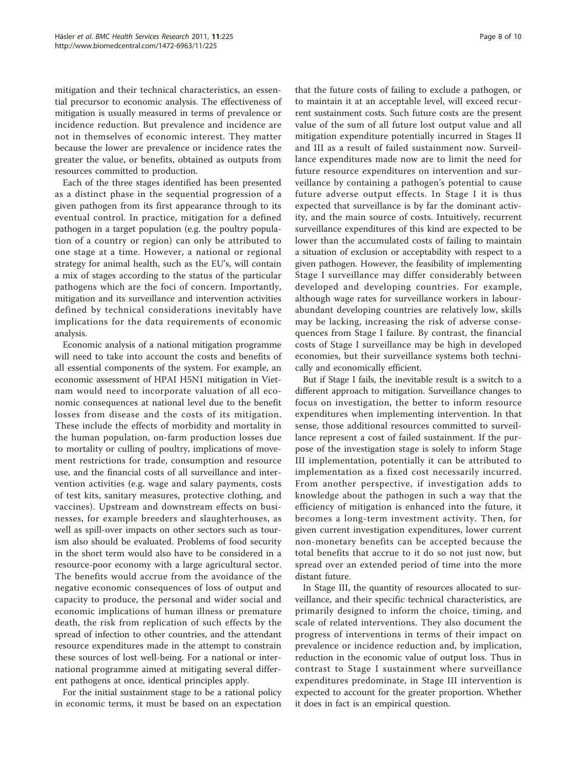mitigation and their technical characteristics, an essential precursor to economic analysis. The effectiveness of mitigation is usually measured in terms of prevalence or incidence reduction. But prevalence and incidence are not in themselves of economic interest. They matter because the lower are prevalence or incidence rates the greater the value, or benefits, obtained as outputs from resources committed to production.

Each of the three stages identified has been presented as a distinct phase in the sequential progression of a given pathogen from its first appearance through to its eventual control. In practice, mitigation for a defined pathogen in a target population (e.g. the poultry population of a country or region) can only be attributed to one stage at a time. However, a national or regional strategy for animal health, such as the EU's, will contain a mix of stages according to the status of the particular pathogens which are the foci of concern. Importantly, mitigation and its surveillance and intervention activities defined by technical considerations inevitably have implications for the data requirements of economic analysis.

Economic analysis of a national mitigation programme will need to take into account the costs and benefits of all essential components of the system. For example, an economic assessment of HPAI H5N1 mitigation in Vietnam would need to incorporate valuation of all economic consequences at national level due to the benefit losses from disease and the costs of its mitigation. These include the effects of morbidity and mortality in the human population, on-farm production losses due to mortality or culling of poultry, implications of movement restrictions for trade, consumption and resource use, and the financial costs of all surveillance and intervention activities (e.g. wage and salary payments, costs of test kits, sanitary measures, protective clothing, and vaccines). Upstream and downstream effects on businesses, for example breeders and slaughterhouses, as well as spill-over impacts on other sectors such as tourism also should be evaluated. Problems of food security in the short term would also have to be considered in a resource-poor economy with a large agricultural sector. The benefits would accrue from the avoidance of the negative economic consequences of loss of output and capacity to produce, the personal and wider social and economic implications of human illness or premature death, the risk from replication of such effects by the spread of infection to other countries, and the attendant resource expenditures made in the attempt to constrain these sources of lost well-being. For a national or international programme aimed at mitigating several different pathogens at once, identical principles apply.

For the initial sustainment stage to be a rational policy in economic terms, it must be based on an expectation

that the future costs of failing to exclude a pathogen, or to maintain it at an acceptable level, will exceed recurrent sustainment costs. Such future costs are the present value of the sum of all future lost output value and all mitigation expenditure potentially incurred in Stages II and III as a result of failed sustainment now. Surveillance expenditures made now are to limit the need for future resource expenditures on intervention and surveillance by containing a pathogen's potential to cause future adverse output effects. In Stage I it is thus expected that surveillance is by far the dominant activity, and the main source of costs. Intuitively, recurrent surveillance expenditures of this kind are expected to be lower than the accumulated costs of failing to maintain a situation of exclusion or acceptability with respect to a given pathogen. However, the feasibility of implementing Stage I surveillance may differ considerably between developed and developing countries. For example, although wage rates for surveillance workers in labourabundant developing countries are relatively low, skills may be lacking, increasing the risk of adverse consequences from Stage I failure. By contrast, the financial costs of Stage I surveillance may be high in developed economies, but their surveillance systems both technically and economically efficient.

But if Stage I fails, the inevitable result is a switch to a different approach to mitigation. Surveillance changes to focus on investigation, the better to inform resource expenditures when implementing intervention. In that sense, those additional resources committed to surveillance represent a cost of failed sustainment. If the purpose of the investigation stage is solely to inform Stage III implementation, potentially it can be attributed to implementation as a fixed cost necessarily incurred. From another perspective, if investigation adds to knowledge about the pathogen in such a way that the efficiency of mitigation is enhanced into the future, it becomes a long-term investment activity. Then, for given current investigation expenditures, lower current non-monetary benefits can be accepted because the total benefits that accrue to it do so not just now, but spread over an extended period of time into the more distant future.

In Stage III, the quantity of resources allocated to surveillance, and their specific technical characteristics, are primarily designed to inform the choice, timing, and scale of related interventions. They also document the progress of interventions in terms of their impact on prevalence or incidence reduction and, by implication, reduction in the economic value of output loss. Thus in contrast to Stage I sustainment where surveillance expenditures predominate, in Stage III intervention is expected to account for the greater proportion. Whether it does in fact is an empirical question.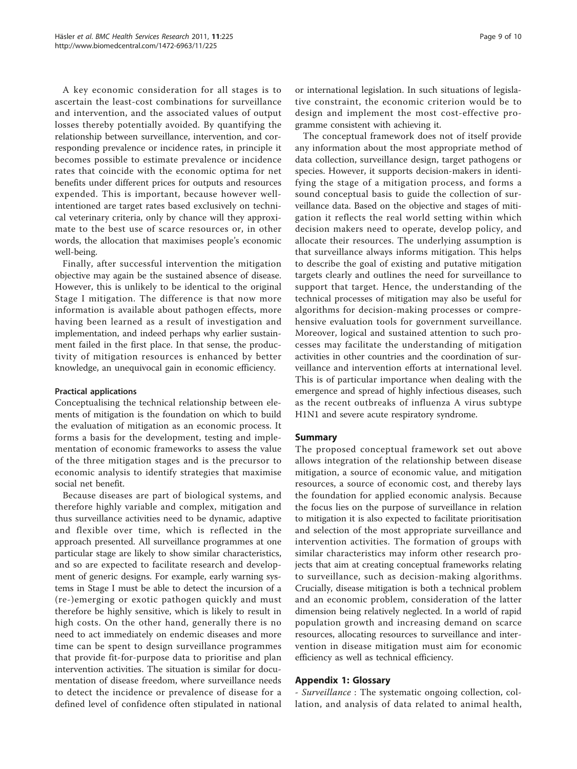A key economic consideration for all stages is to ascertain the least-cost combinations for surveillance and intervention, and the associated values of output losses thereby potentially avoided. By quantifying the relationship between surveillance, intervention, and corresponding prevalence or incidence rates, in principle it becomes possible to estimate prevalence or incidence rates that coincide with the economic optima for net benefits under different prices for outputs and resources expended. This is important, because however wellintentioned are target rates based exclusively on technical veterinary criteria, only by chance will they approximate to the best use of scarce resources or, in other words, the allocation that maximises people's economic well-being.

Finally, after successful intervention the mitigation objective may again be the sustained absence of disease. However, this is unlikely to be identical to the original Stage I mitigation. The difference is that now more information is available about pathogen effects, more having been learned as a result of investigation and implementation, and indeed perhaps why earlier sustainment failed in the first place. In that sense, the productivity of mitigation resources is enhanced by better knowledge, an unequivocal gain in economic efficiency.

### Practical applications

Conceptualising the technical relationship between elements of mitigation is the foundation on which to build the evaluation of mitigation as an economic process. It forms a basis for the development, testing and implementation of economic frameworks to assess the value of the three mitigation stages and is the precursor to economic analysis to identify strategies that maximise social net benefit.

Because diseases are part of biological systems, and therefore highly variable and complex, mitigation and thus surveillance activities need to be dynamic, adaptive and flexible over time, which is reflected in the approach presented. All surveillance programmes at one particular stage are likely to show similar characteristics, and so are expected to facilitate research and development of generic designs. For example, early warning systems in Stage I must be able to detect the incursion of a (re-)emerging or exotic pathogen quickly and must therefore be highly sensitive, which is likely to result in high costs. On the other hand, generally there is no need to act immediately on endemic diseases and more time can be spent to design surveillance programmes that provide fit-for-purpose data to prioritise and plan intervention activities. The situation is similar for documentation of disease freedom, where surveillance needs to detect the incidence or prevalence of disease for a defined level of confidence often stipulated in national

or international legislation. In such situations of legislative constraint, the economic criterion would be to design and implement the most cost-effective programme consistent with achieving it.

The conceptual framework does not of itself provide any information about the most appropriate method of data collection, surveillance design, target pathogens or species. However, it supports decision-makers in identifying the stage of a mitigation process, and forms a sound conceptual basis to guide the collection of surveillance data. Based on the objective and stages of mitigation it reflects the real world setting within which decision makers need to operate, develop policy, and allocate their resources. The underlying assumption is that surveillance always informs mitigation. This helps to describe the goal of existing and putative mitigation targets clearly and outlines the need for surveillance to support that target. Hence, the understanding of the technical processes of mitigation may also be useful for algorithms for decision-making processes or comprehensive evaluation tools for government surveillance. Moreover, logical and sustained attention to such processes may facilitate the understanding of mitigation activities in other countries and the coordination of surveillance and intervention efforts at international level. This is of particular importance when dealing with the emergence and spread of highly infectious diseases, such as the recent outbreaks of influenza A virus subtype H1N1 and severe acute respiratory syndrome.

### Summary

The proposed conceptual framework set out above allows integration of the relationship between disease mitigation, a source of economic value, and mitigation resources, a source of economic cost, and thereby lays the foundation for applied economic analysis. Because the focus lies on the purpose of surveillance in relation to mitigation it is also expected to facilitate prioritisation and selection of the most appropriate surveillance and intervention activities. The formation of groups with similar characteristics may inform other research projects that aim at creating conceptual frameworks relating to surveillance, such as decision-making algorithms. Crucially, disease mitigation is both a technical problem and an economic problem, consideration of the latter dimension being relatively neglected. In a world of rapid population growth and increasing demand on scarce resources, allocating resources to surveillance and intervention in disease mitigation must aim for economic efficiency as well as technical efficiency.

### Appendix 1: Glossary

- Surveillance : The systematic ongoing collection, collation, and analysis of data related to animal health,